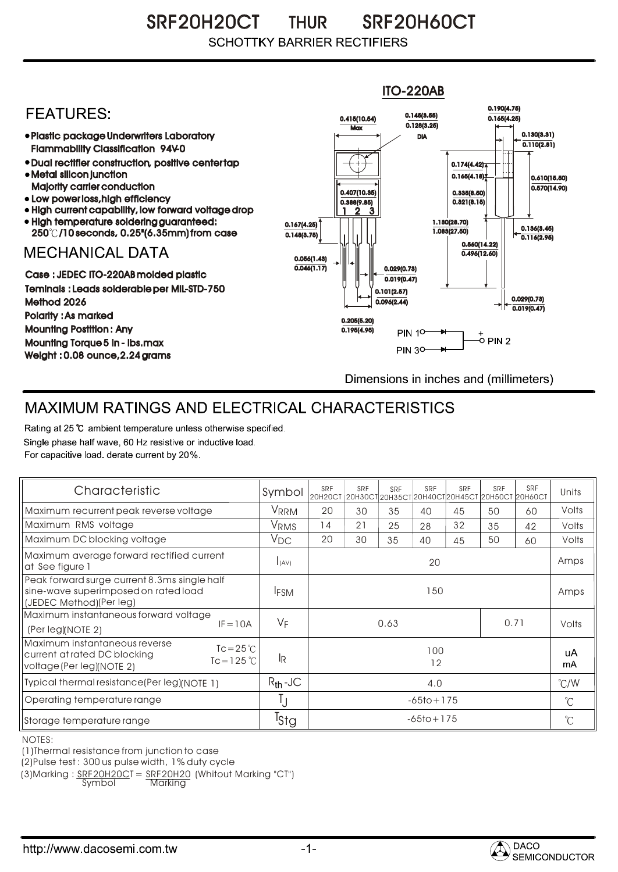SRF20H20CT THUR SRF20H60CT **SCHOTTKY BARRIER RECTIFIERS** 



## MAXIMUM RATINGS AND ELECTRICAL CHARACTERISTICS

Rating at 25 °C ambient temperature unless otherwise specified. Single phase half wave, 60 Hz resistive or inductive load. For capacitive load, derate current by 20%.

| Characteristic                                                                                                                    | Symbol           | SRF<br>20H20CT | SRF | SRF | SRF | SRF | SRF<br>20Н30СТ 20Н35СТ 20Н40СТ 20Н45СТ 20Н50СТ 20Н60СТ | SRF   | Units                |
|-----------------------------------------------------------------------------------------------------------------------------------|------------------|----------------|-----|-----|-----|-----|--------------------------------------------------------|-------|----------------------|
| Maximum recurrent peak reverse voltage                                                                                            | VRRM             | 20             | 30  | 35  | 40  | 45  | 50                                                     | 60    | Volts                |
| Maximum RMS voltage                                                                                                               | V <sub>RMS</sub> | 14             | 21  | 25  | 28  | 32  | 35                                                     | 42    | Volts                |
| Maximum DC blocking voltage                                                                                                       | $V_{DC}$         | 20             | 30  | 35  | 40  | 45  | 50                                                     | 60    | Volts                |
| Maximum average forward rectified current<br>at See figure 1                                                                      | I(AV)            | 20             |     |     |     |     |                                                        |       | Amps                 |
| Peak forward surge current 8.3ms single half<br>sine-wave superimposed on rated load<br>(JEDEC Method)(Per leg)                   | <b>IFSM</b>      | 150            |     |     |     |     |                                                        |       | Amps                 |
| Maximum instantaneous forward voltage<br>$IF = 10A$<br>(Per leg)(NOTE 2)                                                          | $V_F$            | 0.71<br>0.63   |     |     |     |     |                                                        | Volts |                      |
| Maximum instantaneous reverse<br>$Tc = 25^{\circ}C$<br>current at rated DC blocking<br>$Tc = 125$ °C<br>voltage (Per leg)(NOTE 2) | 1R               | 100<br>12      |     |     |     |     |                                                        |       | uA<br>mA             |
| Typical thermal resistance(Per leg)(NOTE 1)                                                                                       | $R_{th}$ -JC     | 4,0            |     |     |     |     |                                                        |       | $\degree$ C/W        |
| Operating temperature range                                                                                                       | IJ               | $-65$ to + 175 |     |     |     |     |                                                        |       | $^{\circ}$ C         |
| Storage temperature range                                                                                                         | <sup>I</sup> Stg | $-65$ to + 175 |     |     |     |     |                                                        |       | $\mathrm{C}^{\circ}$ |

NOTES:

(1)Thermal resistance from junction to case

(2)Pulse test : 300 us pulse width, 1% duty cycle

(3)Marking :  $\frac{SRF20H20C}{Symb0}$  =  $\frac{SRF20H20}{Markina}$  (Whitout Marking "CT")

<u>Marking</u>